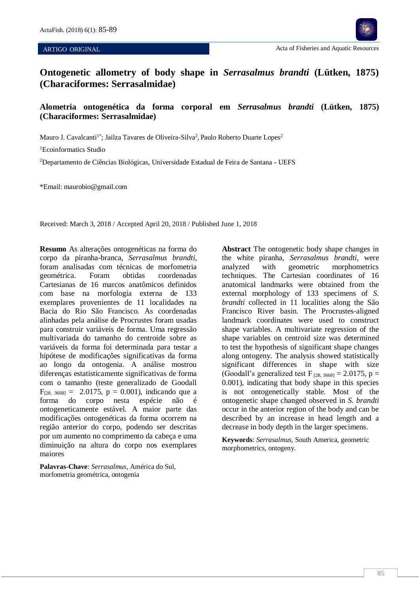٦



**Ontogenetic allometry of body shape in** *Serrasalmus brandti* **(Lütken, 1875) (Characiformes: Serrasalmidae)**

# **Alometria ontogenética da forma corporal em** *Serrasalmus brandti* **(Lütken, 1875) (Characiformes: Serrasalmidae)**

Mauro J. Cavalcanti<sup>1\*</sup>; Jailza Tavares de Oliveira-Silva<sup>2</sup>, Paulo Roberto Duarte Lopes<sup>2</sup>

<sup>1</sup>Ecoinformatics Studio

<sup>2</sup>Departamento de Ciências Biológicas, Universidade Estadual de Feira de Santana - UEFS

\*Email: maurobio@gmail.com

Received: March 3, 2018 / Accepted April 20, 2018 / Published June 1, 2018

**Resumo** As alterações ontogenéticas na forma do corpo da piranha-branca, *Serrasalmus brandti,* foram analisadas com técnicas de morfometria geométrica. Foram obtidas coordenadas Cartesianas de 16 marcos anatômicos definidos com base na morfologia externa de 133 exemplares provenientes de 11 localidades na Bacia do Rio São Francisco. As coordenadas alinhadas pela análise de Procrustes foram usadas para construir variáveis de forma. Uma regressão multivariada do tamanho do centroide sobre as variáveis da forma foi determinada para testar a hipótese de modificações significativas da forma ao longo da ontogenia. A análise mostrou diferenças estatisticamente significativas de forma com o tamanho (teste generalizado de Goodall  $F_{[28, 3668]} = 2.0175$ ,  $p = 0.001$ ), indicando que a forma do corpo nesta espécie não é ontogeneticamente estável. A maior parte das modificações ontogenéticas da forma ocorrem na região anterior do corpo, podendo ser descritas por um aumento no comprimento da cabeça e uma diminuição na altura do corpo nos exemplares maiores

**Palavras-Chave**: *Serrasalmus*, América do Sul, morfometria geométrica, ontogenia

**Abstract** The ontogenetic body shape changes in the white piranha, *Serrasalmus brandti*, were analyzed with geometric morphometrics techniques. The Cartesian coordinates of 16 anatomical landmarks were obtained from the external morphology of 133 specimens of *S. brandti* collected in 11 localities along the São Francisco River basin. The Procrustes-aligned landmark coordinates were used to construct shape variables. A multivariate regression of the shape variables on centroid size was determined to test the hypothesis of significant shape changes along ontogeny. The analysis showed statistically significant differences in shape with size (Goodall's generalized test  $F_{[28, 3668]} = 2.0175$ , p = 0.001), indicating that body shape in this species is not ontogenetically stable. Most of the ontogenetic shape changed observed in *S. brandti* occur in the anterior region of the body and can be described by an increase in head length and a decrease in body depth in the larger specimens.

**Keywords**: *Serrasalmus*, South America, geometric morphometrics, ontogeny.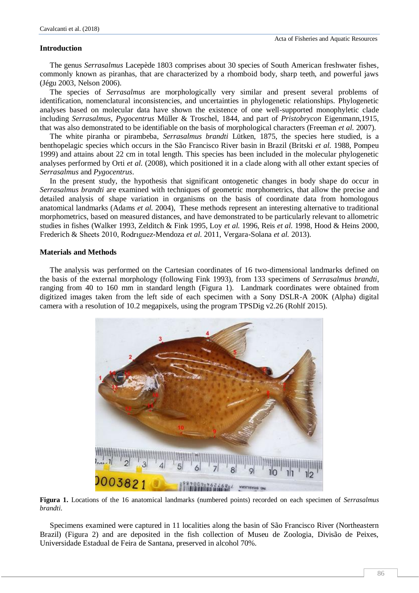# **Introduction**

The genus *Serrasalmus* Lacepède 1803 comprises about 30 species of South American freshwater fishes, commonly known as piranhas, that are characterized by a rhomboid body, sharp teeth, and powerful jaws (Jégu 2003, Nelson 2006).

The species of *Serrasalmus* are morphologically very similar and present several problems of identification, nomenclatural inconsistencies, and uncertainties in phylogenetic relationships. Phylogenetic analyses based on molecular data have shown the existence of one well-supported monophyletic clade including *Serrasalmus*, *Pygocentrus* Müller & Troschel, 1844, and part of *Pristobrycon* Eigenmann,1915, that was also demonstrated to be identifiable on the basis of morphological characters (Freeman *et al.* 2007).

The white piranha or pirambeba, *Serrasalmus brandti* Lütken, 1875, the species here studied, is a benthopelagic species which occurs in the São Francisco River basin in Brazil (Britski *et al.* 1988, Pompeu 1999) and attains about 22 cm in total length. This species has been included in the molecular phylogenetic analyses performed by Orti *et al.* (2008), which positioned it in a clade along with all other extant species of *Serrasalmus* and *Pygocentrus*.

In the present study, the hypothesis that significant ontogenetic changes in body shape do occur in *Serrasalmus brandti* are examined with techniques of geometric morphometrics, that allow the precise and detailed analysis of shape variation in organisms on the basis of coordinate data from homologous anatomical landmarks (Adams *et al.* 2004), These methods represent an interesting alternative to traditional morphometrics, based on measured distances, and have demonstrated to be particularly relevant to allometric studies in fishes (Walker 1993, Zelditch & Fink 1995, Loy *et al.* 1996, Reis *et al.* 1998, Hood & Heins 2000, Frederich & Sheets 2010, Rodrıguez-Mendoza *et al.* 2011, Vergara-Solana *et al.* 2013).

#### **Materials and Methods**

The analysis was performed on the Cartesian coordinates of 16 two-dimensional landmarks defined on the basis of the external morphology (following Fink 1993), from 133 specimens of *Serrasalmus brandti*, ranging from 40 to 160 mm in standard length (Figura 1). Landmark coordinates were obtained from digitized images taken from the left side of each specimen with a Sony DSLR-A 200K (Alpha) digital camera with a resolution of 10.2 megapixels, using the program TPSDig v2.26 (Rohlf 2015).



**Figura 1.** Locations of the 16 anatomical landmarks (numbered points) recorded on each specimen of *Serrasalmus brandti*.

Specimens examined were captured in 11 localities along the basin of São Francisco River (Northeastern Brazil) (Figura 2) and are deposited in the fish collection of Museu de Zoologia, Divisão de Peixes, Universidade Estadual de Feira de Santana, preserved in alcohol 70%.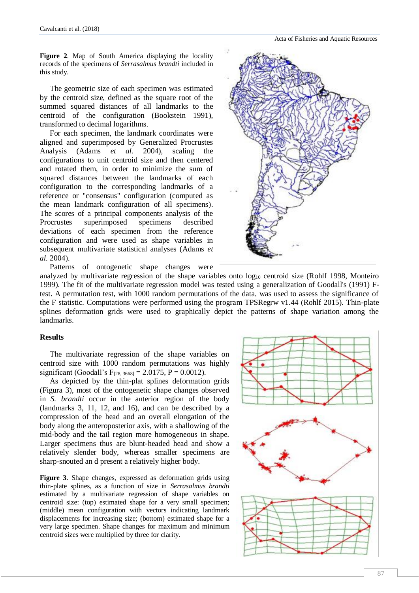Acta of Fisheries and Aquatic Resources

**Figure 2**. Map of South America displaying the locality records of the specimens of *Serrasalmus brandti* included in this study.

The geometric size of each specimen was estimated by the centroid size, defined as the square root of the summed squared distances of all landmarks to the centroid of the configuration (Bookstein 1991), transformed to decimal logarithms.

For each specimen, the landmark coordinates were aligned and superimposed by Generalized Procrustes Analysis (Adams *et al.* 2004), scaling the configurations to unit centroid size and then centered and rotated them, in order to minimize the sum of squared distances between the landmarks of each configuration to the corresponding landmarks of a reference or "consensus" configuration (computed as the mean landmark configuration of all specimens). The scores of a principal components analysis of the Procrustes superimposed specimens described deviations of each specimen from the reference configuration and were used as shape variables in subsequent multivariate statistical analyses (Adams *et al.* 2004).

Patterns of ontogenetic shape changes were



analyzed by multivariate regression of the shape variables onto log<sub>10</sub> centroid size (Rohlf 1998, Monteiro 1999). The fit of the multivariate regression model was tested using a generalization of Goodall's (1991) Ftest. A permutation test, with 1000 random permutations of the data, was used to assess the significance of the F statistic. Computations were performed using the program TPSRegrw v1.44 (Rohlf 2015). Thin-plate splines deformation grids were used to graphically depict the patterns of shape variation among the landmarks.

### **Results**

The multivariate regression of the shape variables on centroid size with 1000 random permutations was highly significant (Goodall's F<sub>[28, 3668]</sub> = 2.0175, P = 0.0012).

As depicted by the thin-plat splines deformation grids (Figura 3), most of the ontogenetic shape changes observed in *S. brandti* occur in the anterior region of the body (landmarks 3, 11, 12, and 16), and can be described by a compression of the head and an overall elongation of the body along the anteroposterior axis, with a shallowing of the mid-body and the tail region more homogeneous in shape. Larger specimens thus are blunt-headed head and show a relatively slender body, whereas smaller specimens are sharp-snouted an d present a relatively higher body.

**Figure 3**. Shape changes, expressed as deformation grids using thin-plate splines, as a function of size in *Serrasalmus brandti* estimated by a multivariate regression of shape variables on centroid size: (top) estimated shape for a very small specimen; (middle) mean configuration with vectors indicating landmark displacements for increasing size; (bottom) estimated shape for a very large specimen. Shape changes for maximum and minimum centroid sizes were multiplied by three for clarity.

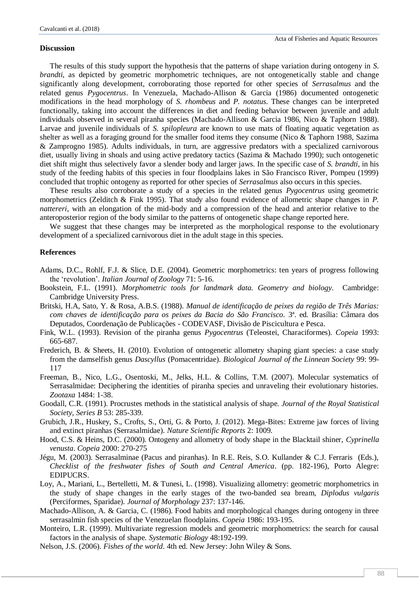#### **Discussion**

The results of this study support the hypothesis that the patterns of shape variation during ontogeny in *S. brandti*, as depicted by geometric morphometric techniques, are not ontogenetically stable and change significantly along development, corroborating those reported for other species of *Serrasalmus* and the related genus *Pygocentrus*. In Venezuela, Machado-Allison & Garcia (1986) documented ontogenetic modifications in the head morphology of *S. rhombeus* and *P. notatus*. These changes can be interpreted functionally, taking into account the differences in diet and feeding behavior between juvenile and adult individuals observed in several piranha species (Machado-Allison & Garcia 1986, Nico & Taphorn 1988). Larvae and juvenile individuals of *S. spilopleura* are known to use mats of floating aquatic vegetation as shelter as well as a foraging ground for the smaller food items they consume (Nico & Taphorn 1988, Sazima & Zamprogno 1985). Adults individuals, in turn, are aggressive predators with a specialized carnivorous diet, usually living in shoals and using active predatory tactics (Sazima & Machado 1990); such ontogenetic diet shift might thus selectively favor a slender body and larger jaws. In the specific case of *S. brandti*, in his study of the feeding habits of this species in four floodplains lakes in São Francisco River, Pompeu (1999) concluded that trophic ontogeny as reported for other species of *Serrasalmus* also occurs in this species.

These results also corroborate a study of a species in the related genus *Pygocentrus* using geometric morphometrics (Zelditch & Fink 1995). That study also found evidence of allometric shape changes in *P. nattereri*, with an elongation of the mid-body and a compression of the head and anterior relative to the anteroposterior region of the body similar to the patterns of ontogenetic shape change reported here.

We suggest that these changes may be interpreted as the morphological response to the evolutionary development of a specialized carnivorous diet in the adult stage in this species.

# **References**

- Adams, D.C., Rohlf, F.J. & Slice, D.E. (2004). Geometric morphometrics: ten years of progress following the 'revolution'. *Italian Journal of Zoology* 71: 5-16.
- Bookstein, F.L. (1991). *Morphometric tools for landmark data. Geometry and biology*. Cambridge: Cambridge University Press.
- Britski, H.A, Sato, Y. & Rosa, A.B.S. (1988). *Manual de identificação de peixes da região de Três Marias: com chaves de identificação para os peixes da Bacia do São Francisco.* 3ª. ed. Brasília: Câmara dos Deputados, Coordenação de Publicações - CODEVASF, Divisão de Piscicultura e Pesca.
- Fink, W.L. (1993). Revision of the piranha genus *Pygocentrus* (Teleostei, Characiformes). *Copeia* 1993: 665-687.
- Frederich, B. & Sheets, H. (2010). Evolution of ontogenetic allometry shaping giant species: a case study from the damselfish genus *Dascyllus* (Pomacentridae). *Biological Journal of the Linnean Society* 99: 99- 117
- Freeman, B., Nico, L.G., Osentoski, M., Jelks, H.L. & Collins, T.M. (2007). Molecular systematics of Serrasalmidae: Deciphering the identities of piranha species and unraveling their evolutionary histories. *Zootaxa* 1484: 1-38.
- Goodall, C.R. (1991). Procrustes methods in the statistical analysis of shape. *Journal of the Royal Statistical Society, Series B* 53: 285-339.
- Grubich, J.R., Huskey, S., Crofts, S., Orti, G. & Porto, J. (2012). Mega-Bites: Extreme jaw forces of living and extinct piranhas (Serrasalmidae). *Nature Scientific Reports* 2: 1009.
- Hood, C.S. & Heins, D.C. (2000). Ontogeny and allometry of body shape in the Blacktail shiner, *Cyprinella venusta*. *Copeia* 2000: 270-275
- Jégu, M. (2003). Serrasalminae (Pacus and piranhas). In R.E. Reis, S.O. Kullander & C.J. Ferraris (Eds.), *Checklist of the freshwater fishes of South and Central America*. (pp. 182-196), Porto Alegre: EDIPUCRS.
- Loy, A., Mariani, L., Bertelletti, M. & Tunesi, L. (1998). Visualizing allometry: geometric morphometrics in the study of shape changes in the early stages of the two-banded sea bream, *Diplodus vulgaris* (Perciformes, Sparidae). *Journal of Morphology* 237: 137-146.
- Machado-Allison, A. & Garcia, C. (1986). Food habits and morphological changes during ontogeny in three serrasalmin fish species of the Venezuelan floodplains. *Copeia* 1986: 193-195.
- Monteiro, L.R. (1999). Multivariate regression models and geometric morphometrics: the search for causal factors in the analysis of shape. *Systematic Biology* 48:192-199.
- Nelson, J.S. (2006). *Fishes of the world*. 4th ed. New Jersey: John Wiley & Sons.